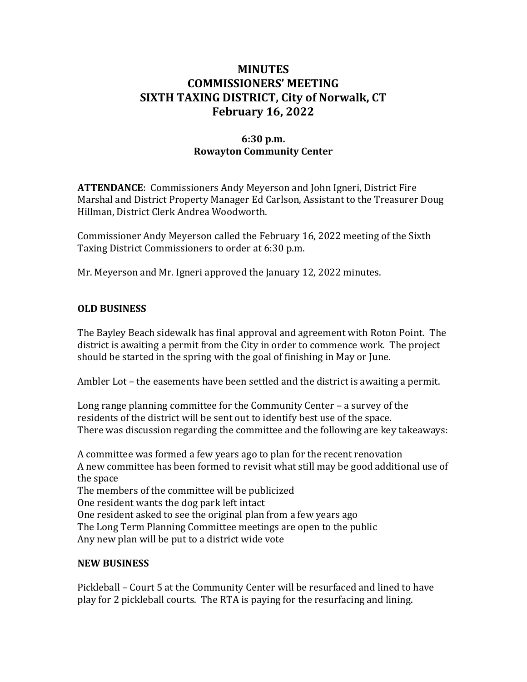# **MINUTES COMMISSIONERS' MEETING SIXTH TAXING DISTRICT, City of Norwalk, CT February 16, 2022**

### **6:30 p.m. Rowayton Community Center**

**ATTENDANCE**: Commissioners Andy Meyerson and John Igneri, District Fire Marshal and District Property Manager Ed Carlson, Assistant to the Treasurer Doug Hillman, District Clerk Andrea Woodworth.

Commissioner Andy Meyerson called the February 16, 2022 meeting of the Sixth Taxing District Commissioners to order at 6:30 p.m.

Mr. Meyerson and Mr. Igneri approved the January 12, 2022 minutes.

# **OLD BUSINESS**

The Bayley Beach sidewalk has final approval and agreement with Roton Point. The district is awaiting a permit from the City in order to commence work. The project should be started in the spring with the goal of finishing in May or June.

Ambler Lot – the easements have been settled and the district is awaiting a permit.

Long range planning committee for the Community Center – a survey of the residents of the district will be sent out to identify best use of the space. There was discussion regarding the committee and the following are key takeaways:

A committee was formed a few years ago to plan for the recent renovation A new committee has been formed to revisit what still may be good additional use of the space The members of the committee will be publicized One resident wants the dog park left intact One resident asked to see the original plan from a few years ago The Long Term Planning Committee meetings are open to the public Any new plan will be put to a district wide vote

### **NEW BUSINESS**

Pickleball – Court 5 at the Community Center will be resurfaced and lined to have play for 2 pickleball courts. The RTA is paying for the resurfacing and lining.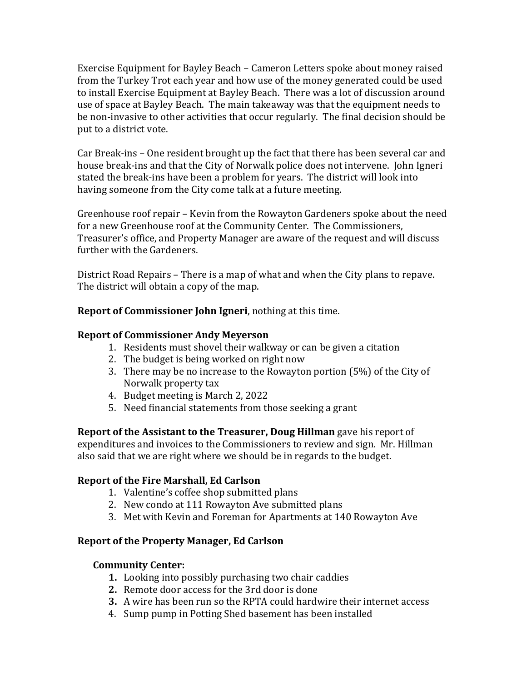Exercise Equipment for Bayley Beach – Cameron Letters spoke about money raised from the Turkey Trot each year and how use of the money generated could be used to install Exercise Equipment at Bayley Beach. There was a lot of discussion around use of space at Bayley Beach. The main takeaway was that the equipment needs to be non-invasive to other activities that occur regularly. The final decision should be put to a district vote.

Car Break-ins – One resident brought up the fact that there has been several car and house break-ins and that the City of Norwalk police does not intervene. John Igneri stated the break-ins have been a problem for years. The district will look into having someone from the City come talk at a future meeting.

Greenhouse roof repair – Kevin from the Rowayton Gardeners spoke about the need for a new Greenhouse roof at the Community Center. The Commissioners, Treasurer's office, and Property Manager are aware of the request and will discuss further with the Gardeners.

District Road Repairs – There is a map of what and when the City plans to repave. The district will obtain a copy of the map.

**Report of Commissioner John Igneri**, nothing at this time.

# **Report of Commissioner Andy Meyerson**

- 1. Residents must shovel their walkway or can be given a citation
- 2. The budget is being worked on right now
- 3. There may be no increase to the Rowayton portion (5%) of the City of Norwalk property tax
- 4. Budget meeting is March 2, 2022
- 5. Need financial statements from those seeking a grant

**Report of the Assistant to the Treasurer, Doug Hillman** gave his report of expenditures and invoices to the Commissioners to review and sign. Mr. Hillman also said that we are right where we should be in regards to the budget.

# **Report of the Fire Marshall, Ed Carlson**

- 1. Valentine's coffee shop submitted plans
- 2. New condo at 111 Rowayton Ave submitted plans
- 3. Met with Kevin and Foreman for Apartments at 140 Rowayton Ave

# **Report of the Property Manager, Ed Carlson**

### **Community Center:**

- **1.** Looking into possibly purchasing two chair caddies
- **2.** Remote door access for the 3rd door is done
- **3.** A wire has been run so the RPTA could hardwire their internet access
- 4. Sump pump in Potting Shed basement has been installed